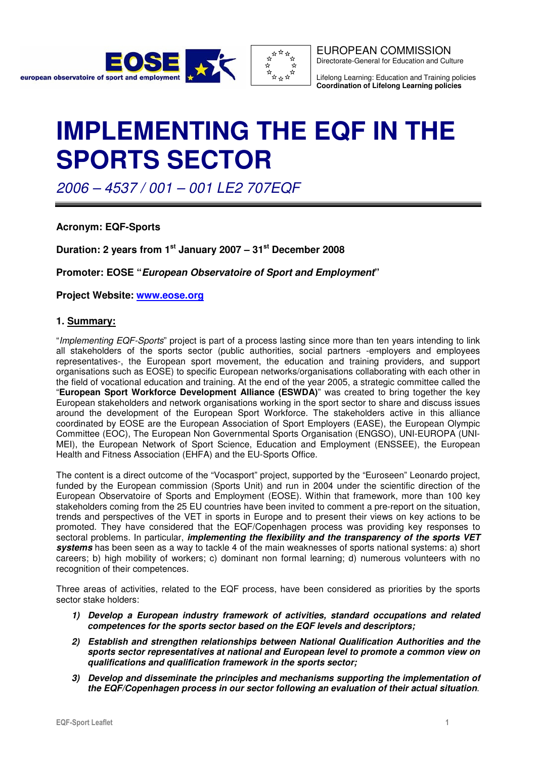



EUROPEAN COMMISSION Directorate-General for Education and Culture

Lifelong Learning: Education and Training policies **Coordination of Lifelong Learning policies**

# **IMPLEMENTING THE EQF IN THE SPORTS SECTOR**

2006 – 4537 / 001 – 001 LE2 707EQF

**Acronym: EQF-Sports** 

**Duration: 2 years from 1st January 2007 – 31st December 2008** 

**Promoter: EOSE "European Observatoire of Sport and Employment"** 

**Project Website: www.eose.org** 

## **1. Summary:**

"Implementing EQF-Sports" project is part of a process lasting since more than ten years intending to link all stakeholders of the sports sector (public authorities, social partners -employers and employees representatives-, the European sport movement, the education and training providers, and support organisations such as EOSE) to specific European networks/organisations collaborating with each other in the field of vocational education and training. At the end of the year 2005, a strategic committee called the "**European Sport Workforce Development Alliance (ESWDA)**" was created to bring together the key European stakeholders and network organisations working in the sport sector to share and discuss issues around the development of the European Sport Workforce. The stakeholders active in this alliance coordinated by EOSE are the European Association of Sport Employers (EASE), the European Olympic Committee (EOC), The European Non Governmental Sports Organisation (ENGSO), UNI-EUROPA (UNI-MEI), the European Network of Sport Science, Education and Employment (ENSSEE), the European Health and Fitness Association (EHFA) and the EU-Sports Office.

The content is a direct outcome of the "Vocasport" project, supported by the "Euroseen" Leonardo project, funded by the European commission (Sports Unit) and run in 2004 under the scientific direction of the European Observatoire of Sports and Employment (EOSE). Within that framework, more than 100 key stakeholders coming from the 25 EU countries have been invited to comment a pre-report on the situation, trends and perspectives of the VET in sports in Europe and to present their views on key actions to be promoted. They have considered that the EQF/Copenhagen process was providing key responses to sectoral problems. In particular, **implementing the flexibility and the transparency of the sports VET systems** has been seen as a way to tackle 4 of the main weaknesses of sports national systems: a) short careers; b) high mobility of workers; c) dominant non formal learning; d) numerous volunteers with no recognition of their competences.

Three areas of activities, related to the EQF process, have been considered as priorities by the sports sector stake holders:

- **1) Develop a European industry framework of activities, standard occupations and related competences for the sports sector based on the EQF levels and descriptors;**
- **2) Establish and strengthen relationships between National Qualification Authorities and the sports sector representatives at national and European level to promote a common view on qualifications and qualification framework in the sports sector;**
- **3) Develop and disseminate the principles and mechanisms supporting the implementation of the EQF/Copenhagen process in our sector following an evaluation of their actual situation**.